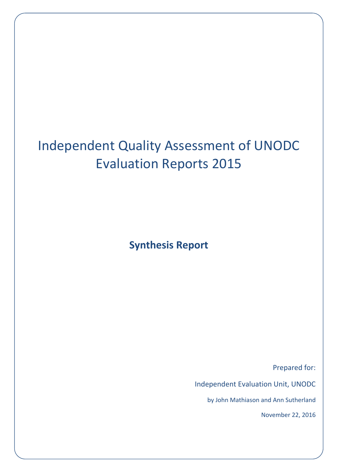# Independent Quality Assessment of UNODC Evaluation Reports 2015

**Synthesis Report**

Prepared for:

Independent Evaluation Unit, UNODC

by John Mathiason and Ann Sutherland

November 22, 2016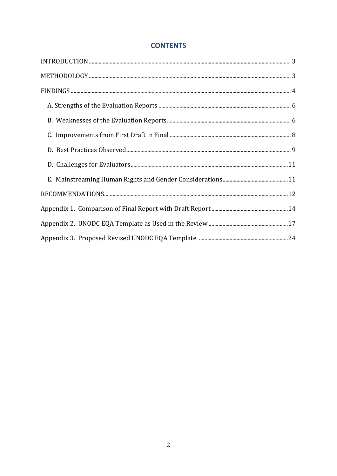## **CONTENTS**

| $\bf INTRODUCTION \,\, \ldots \,\, \ldots \,\, \ldots \,\, \ldots \,\, \ldots \,\, \ldots \,\, \ldots \,\, \ldots \,\, \ldots \,\, \ldots \,\, \ldots \,\, \ldots \,\, \ldots \,\, \ldots \,\, \ldots \,\, \ldots \,\, \ldots \,\, \ldots \,\, \ldots \,\, \ldots \,\, \ldots \,\, \ldots \,\, \ldots \,\, \ldots \,\, \ldots \,\, \ldots \,\, \ldots \,\, \ldots \,\, \ldots \,\, \ldots \,\, \ldots \,\, \ldots \,\, \ldots \,\, \ldots \,\, \ldots \,\, \ldots$ |  |
|--------------------------------------------------------------------------------------------------------------------------------------------------------------------------------------------------------------------------------------------------------------------------------------------------------------------------------------------------------------------------------------------------------------------------------------------------------------------|--|
|                                                                                                                                                                                                                                                                                                                                                                                                                                                                    |  |
|                                                                                                                                                                                                                                                                                                                                                                                                                                                                    |  |
|                                                                                                                                                                                                                                                                                                                                                                                                                                                                    |  |
|                                                                                                                                                                                                                                                                                                                                                                                                                                                                    |  |
|                                                                                                                                                                                                                                                                                                                                                                                                                                                                    |  |
|                                                                                                                                                                                                                                                                                                                                                                                                                                                                    |  |
|                                                                                                                                                                                                                                                                                                                                                                                                                                                                    |  |
|                                                                                                                                                                                                                                                                                                                                                                                                                                                                    |  |
|                                                                                                                                                                                                                                                                                                                                                                                                                                                                    |  |
|                                                                                                                                                                                                                                                                                                                                                                                                                                                                    |  |
|                                                                                                                                                                                                                                                                                                                                                                                                                                                                    |  |
|                                                                                                                                                                                                                                                                                                                                                                                                                                                                    |  |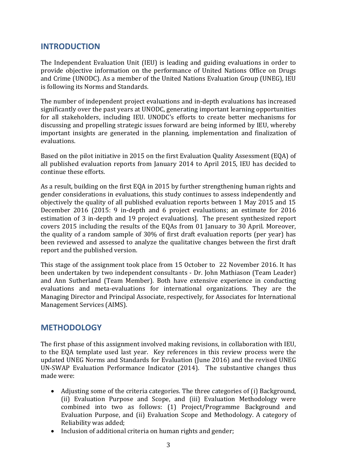## **INTRODUCTION**

The Independent Evaluation Unit (IEU) is leading and guiding evaluations in order to provide objective information on the performance of United Nations Office on Drugs and Crime (UNODC). As a member of the United Nations Evaluation Group (UNEG), IEU is following its Norms and Standards.

The number of independent project evaluations and in-depth evaluations has increased significantly over the past years at UNODC, generating important learning opportunities for all stakeholders, including IEU. UNODC's efforts to create better mechanisms for discussing and propelling strategic issues forward are being informed by IEU, whereby important insights are generated in the planning, implementation and finalization of evaluations.

Based on the pilot initiative in 2015 on the first Evaluation Quality Assessment (EQA) of all published evaluation reports from January 2014 to April 2015, IEU has decided to continue these efforts.

As a result, building on the first EQA in 2015 by further strengthening human rights and gender considerations in evaluations, this study continues to assess independently and objectively the quality of all published evaluation reports between 1 May 2015 and 15 December 2016 (2015: 9 in-depth and 6 project evaluations; an estimate for 2016 estimation of 3 in-depth and 19 project evaluations]. The present synthesized report covers 2015 including the results of the EQAs from 01 January to 30 April. Moreover, the quality of a random sample of 30% of first draft evaluation reports (per year) has been reviewed and assessed to analyze the qualitative changes between the first draft report and the published version.

This stage of the assignment took place from 15 October to 22 November 2016. It has been undertaken by two independent consultants - Dr. John Mathiason (Team Leader) and Ann Sutherland (Team Member). Both have extensive experience in conducting evaluations and meta-evaluations for international organizations. They are the Managing Director and Principal Associate, respectively, for Associates for International Management Services (AIMS).

## **METHODOLOGY**

The first phase of this assignment involved making revisions, in collaboration with IEU, to the EQA template used last year. Key references in this review process were the updated UNEG Norms and Standards for Evaluation (June 2016) and the revised UNEG UN-SWAP Evaluation Performance Indicator (2014). The substantive changes thus made were:

- Adjusting some of the criteria categories. The three categories of (i) Background, (ii) Evaluation Purpose and Scope, and (iii) Evaluation Methodology were combined into two as follows: (1) Project/Programme Background and Evaluation Purpose, and (ii) Evaluation Scope and Methodology. A category of Reliability was added;
- Inclusion of additional criteria on human rights and gender;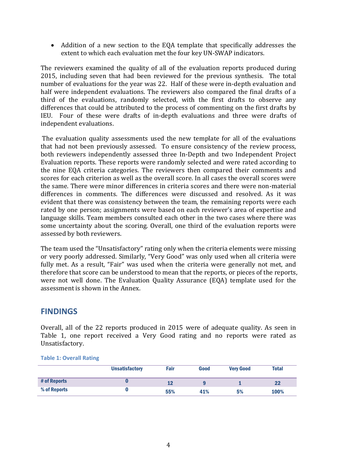Addition of a new section to the EQA template that specifically addresses the extent to which each evaluation met the four key UN-SWAP indicators.

The reviewers examined the quality of all of the evaluation reports produced during 2015, including seven that had been reviewed for the previous synthesis. The total number of evaluations for the year was 22. Half of these were in-depth evaluation and half were independent evaluations. The reviewers also compared the final drafts of a third of the evaluations, randomly selected, with the first drafts to observe any differences that could be attributed to the process of commenting on the first drafts by IEU. Four of these were drafts of in-depth evaluations and three were drafts of independent evaluations.

The evaluation quality assessments used the new template for all of the evaluations that had not been previously assessed. To ensure consistency of the review process, both reviewers independently assessed three In-Depth and two Independent Project Evaluation reports. These reports were randomly selected and were rated according to the nine EQA criteria categories. The reviewers then compared their comments and scores for each criterion as well as the overall score. In all cases the overall scores were the same. There were minor differences in criteria scores and there were non-material differences in comments. The differences were discussed and resolved. As it was evident that there was consistency between the team, the remaining reports were each rated by one person; assignments were based on each reviewer's area of expertise and language skills. Team members consulted each other in the two cases where there was some uncertainty about the scoring. Overall, one third of the evaluation reports were assessed by both reviewers.

The team used the "Unsatisfactory" rating only when the criteria elements were missing or very poorly addressed. Similarly, "Very Good" was only used when all criteria were fully met. As a result, "Fair" was used when the criteria were generally not met, and therefore that score can be understood to mean that the reports, or pieces of the reports, were not well done. The Evaluation Quality Assurance (EQA) template used for the assessment is shown in the Annex.

## **FINDINGS**

Overall, all of the 22 reports produced in 2015 were of adequate quality. As seen in Table 1, one report received a Very Good rating and no reports were rated as Unsatisfactory.

**Table 1: Overall Rating**

|              | <b>Unsatisfactory</b> | Fair | Good | <b>Very Good</b> | <b>Total</b> |
|--------------|-----------------------|------|------|------------------|--------------|
| # of Reports |                       | 12   |      |                  | 22           |
| % of Reports |                       | 55%  | 41%  | 5%               | 100%         |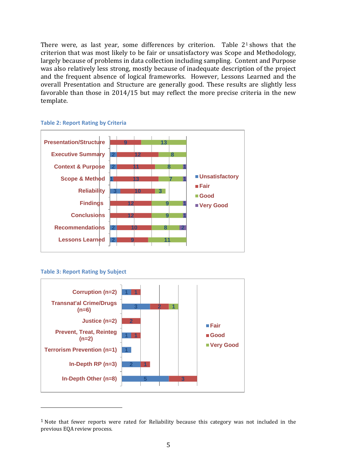There were, as last year, some differences by criterion. Table  $2<sup>1</sup>$  shows that the criterion that was most likely to be fair or unsatisfactory was Scope and Methodology, largely because of problems in data collection including sampling. Content and Purpose was also relatively less strong, mostly because of inadequate description of the project and the frequent absence of logical frameworks. However, Lessons Learned and the overall Presentation and Structure are generally good. These results are slightly less favorable than those in 2014/15 but may reflect the more precise criteria in the new template.



**Table 2: Report Rating by Criteria**

**Table 3: Report Rating by Subject**

<u>.</u>



 $1$  Note that fewer reports were rated for Reliability because this category was not included in the previous EQA review process.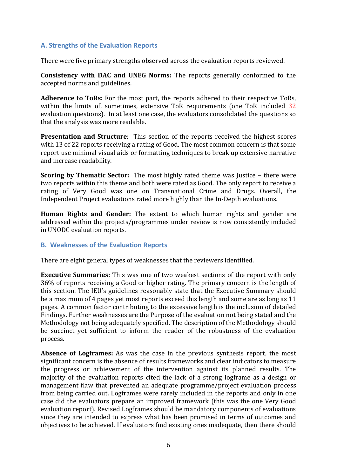#### **A. Strengths of the Evaluation Reports**

There were five primary strengths observed across the evaluation reports reviewed.

**Consistency with DAC and UNEG Norms:** The reports generally conformed to the accepted norms and guidelines.

**Adherence to ToRs:** For the most part, the reports adhered to their respective ToRs, within the limits of, sometimes, extensive ToR requirements (one ToR included 32 evaluation questions). In at least one case, the evaluators consolidated the questions so that the analysis was more readable.

**Presentation and Structure**: This section of the reports received the highest scores with 13 of 22 reports receiving a rating of Good. The most common concern is that some report use minimal visual aids or formatting techniques to break up extensive narrative and increase readability.

**Scoring by Thematic Sector:** The most highly rated theme was Justice – there were two reports within this theme and both were rated as Good. The only report to receive a rating of Very Good was one on Transnational Crime and Drugs. Overall, the Independent Project evaluations rated more highly than the In-Depth evaluations.

**Human Rights and Gender:** The extent to which human rights and gender are addressed within the projects/programmes under review is now consistently included in UNODC evaluation reports.

#### **B. Weaknesses of the Evaluation Reports**

There are eight general types of weaknesses that the reviewers identified.

**Executive Summaries:** This was one of two weakest sections of the report with only 36% of reports receiving a Good or higher rating. The primary concern is the length of this section. The IEU's guidelines reasonably state that the Executive Summary should be a maximum of 4 pages yet most reports exceed this length and some are as long as 11 pages. A common factor contributing to the excessive length is the inclusion of detailed Findings. Further weaknesses are the Purpose of the evaluation not being stated and the Methodology not being adequately specified. The description of the Methodology should be succinct yet sufficient to inform the reader of the robustness of the evaluation process.

**Absence of Logframes:** As was the case in the previous synthesis report, the most significant concern is the absence of results frameworks and clear indicators to measure the progress or achievement of the intervention against its planned results. The majority of the evaluation reports cited the lack of a strong logframe as a design or management flaw that prevented an adequate programme/project evaluation process from being carried out. Logframes were rarely included in the reports and only in one case did the evaluators prepare an improved framework (this was the one Very Good evaluation report). Revised Logframes should be mandatory components of evaluations since they are intended to express what has been promised in terms of outcomes and objectives to be achieved. If evaluators find existing ones inadequate, then there should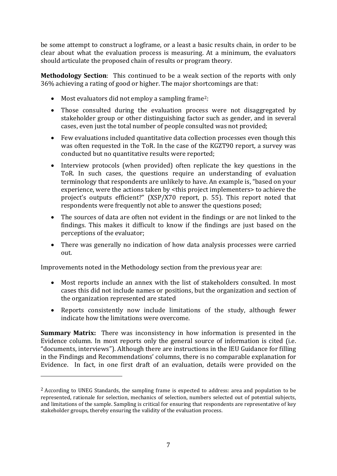be some attempt to construct a logframe, or a least a basic results chain, in order to be clear about what the evaluation process is measuring. At a minimum, the evaluators should articulate the proposed chain of results or program theory.

**Methodology Section**: This continued to be a weak section of the reports with only 36% achieving a rating of good or higher. The major shortcomings are that:

- $\bullet$  Most evaluators did not employ a sampling frame<sup>2</sup>:
- Those consulted during the evaluation process were not disaggregated by stakeholder group or other distinguishing factor such as gender, and in several cases, even just the total number of people consulted was not provided;
- Few evaluations included quantitative data collection processes even though this was often requested in the ToR. In the case of the KGZT90 report, a survey was conducted but no quantitative results were reported;
- Interview protocols (when provided) often replicate the key questions in the ToR. In such cases, the questions require an understanding of evaluation terminology that respondents are unlikely to have. An example is, "based on your experience, were the actions taken by <this project implementers> to achieve the project's outputs efficient?" (XSP/X70 report, p. 55). This report noted that respondents were frequently not able to answer the questions posed;
- The sources of data are often not evident in the findings or are not linked to the findings. This makes it difficult to know if the findings are just based on the perceptions of the evaluator;
- There was generally no indication of how data analysis processes were carried out.

Improvements noted in the Methodology section from the previous year are:

<u>.</u>

- Most reports include an annex with the list of stakeholders consulted. In most cases this did not include names or positions, but the organization and section of the organization represented are stated
- Reports consistently now include limitations of the study, although fewer indicate how the limitations were overcome.

**Summary Matrix:** There was inconsistency in how information is presented in the Evidence column. In most reports only the general source of information is cited (i.e. "documents, interviews"). Although there are instructions in the IEU Guidance for filling in the Findings and Recommendations' columns, there is no comparable explanation for Evidence. In fact, in one first draft of an evaluation, details were provided on the

<sup>2</sup> According to UNEG Standards, the sampling frame is expected to address: area and population to be represented, rationale for selection, mechanics of selection, numbers selected out of potential subjects, and limitations of the sample. Sampling is critical for ensuring that respondents are representative of key stakeholder groups, thereby ensuring the validity of the evaluation process.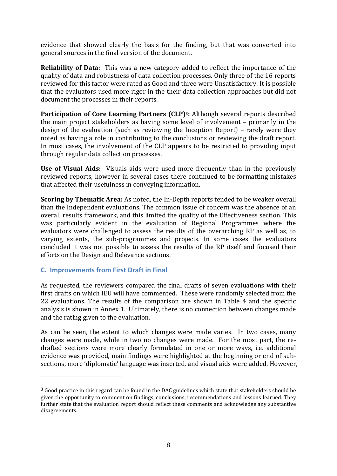evidence that showed clearly the basis for the finding, but that was converted into general sources in the final version of the document.

**Reliability of Data:** This was a new category added to reflect the importance of the quality of data and robustness of data collection processes. Only three of the 16 reports reviewed for this factor were rated as Good and three were Unsatisfactory. It is possible that the evaluators used more rigor in the their data collection approaches but did not document the processes in their reports.

**Participation of Core Learning Partners (CLP)3:** Although several reports described the main project stakeholders as having some level of involvement – primarily in the design of the evaluation (such as reviewing the Inception Report) – rarely were they noted as having a role in contributing to the conclusions or reviewing the draft report. In most cases, the involvement of the CLP appears to be restricted to providing input through regular data collection processes.

**Use of Visual Aids:** Visuals aids were used more frequently than in the previously reviewed reports, however in several cases there continued to be formatting mistakes that affected their usefulness in conveying information.

**Scoring by Thematic Area:** As noted, the In-Depth reports tended to be weaker overall than the Independent evaluations. The common issue of concern was the absence of an overall results framework, and this limited the quality of the Effectiveness section. This was particularly evident in the evaluation of Regional Programmes where the evaluators were challenged to assess the results of the overarching RP as well as, to varying extents, the sub-programmes and projects. In some cases the evaluators concluded it was not possible to assess the results of the RP itself and focused their efforts on the Design and Relevance sections.

#### **C. Improvements from First Draft in Final**

<u>.</u>

As requested, the reviewers compared the final drafts of seven evaluations with their first drafts on which IEU will have commented. These were randomly selected from the 22 evaluations. The results of the comparison are shown in Table 4 and the specific analysis is shown in Annex 1. Ultimately, there is no connection between changes made and the rating given to the evaluation.

As can be seen, the extent to which changes were made varies. In two cases, many changes were made, while in two no changes were made. For the most part, the redrafted sections were more clearly formulated in one or more ways, i.e. additional evidence was provided, main findings were highlighted at the beginning or end of subsections, more 'diplomatic' language was inserted, and visual aids were added. However,

 $3$  Good practice in this regard can be found in the DAC guidelines which state that stakeholders should be given the opportunity to comment on findings, conclusions, recommendations and lessons learned. They further state that the evaluation report should reflect these comments and acknowledge any substantive disagreements.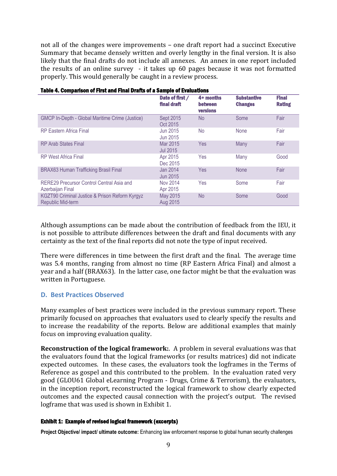not all of the changes were improvements – one draft report had a succinct Executive Summary that became densely written and overly lengthy in the final version. It is also likely that the final drafts do not include all annexes. An annex in one report included the results of an online survey - it takes up 60 pages because it was not formatted properly. This would generally be caught in a review process.

|                                                                            | Date of first /<br>final draft | 4+ months<br><b>between</b><br><b>versions</b> | <b>Substantive</b><br><b>Changes</b> | <b>Final</b><br><b>Rating</b> |
|----------------------------------------------------------------------------|--------------------------------|------------------------------------------------|--------------------------------------|-------------------------------|
| <b>GMCP In-Depth - Global Maritime Crime (Justice)</b>                     | Sept 2015<br>Oct 2015          | N <sub>o</sub>                                 | Some                                 | Fair                          |
| <b>RP Eastern Africa Final</b>                                             | Jun 2015<br>Jun 2015           | <b>No</b>                                      | <b>None</b>                          | Fair                          |
| <b>RP Arab States Final</b>                                                | Mar 2015<br>Jul 2015           | Yes                                            | Many                                 | Fair                          |
| <b>RP West Africa Final</b>                                                | Apr 2015<br>Dec 2015           | Yes                                            | Many                                 | Good                          |
| <b>BRAX63 Human Trafficking Brasil Final</b>                               | Jan 2014<br>Jun 2015           | Yes                                            | <b>None</b>                          | Fair                          |
| RERE29 Precursor Control Central Asia and<br>Azerbaijan Final              | <b>Nov 2014</b><br>Apr 2015    | Yes                                            | Some                                 | Fair                          |
| KGZT90 Criminal Justice & Prison Reform Kyrgyz<br><b>Republic Mid-term</b> | May 2015<br>Aug 2015           | <b>No</b>                                      | Some                                 | Good                          |

#### Table 4. Comparison of First and Final Drafts of a Sample of Evaluations

Although assumptions can be made about the contribution of feedback from the IEU, it is not possible to attribute differences between the draft and final documents with any certainty as the text of the final reports did not note the type of input received.

There were differences in time between the first draft and the final. The average time was 5.4 months, ranging from almost no time (RP Eastern Africa Final) and almost a year and a half (BRAX63). In the latter case, one factor might be that the evaluation was written in Portuguese.

#### **D. Best Practices Observed**

Many examples of best practices were included in the previous summary report. These primarily focused on approaches that evaluators used to clearly specify the results and to increase the readability of the reports. Below are additional examples that mainly focus on improving evaluation quality.

**Reconstruction of the logical framework:**. A problem in several evaluations was that the evaluators found that the logical frameworks (or results matrices) did not indicate expected outcomes. In these cases, the evaluators took the logframes in the Terms of Reference as gospel and this contributed to the problem. In the evaluation rated very good (GLOU61 Global eLearning Program - Drugs, Crime & Terrorism), the evaluators, in the inception report, reconstructed the logical framework to show clearly expected outcomes and the expected causal connection with the project's output. The revised logframe that was used is shown in Exhibit 1.

#### Exhibit 1: Example of revised logical framework (excerpts)

**Project Objective/ impact/ ultimate outcome:** Enhancing law enforcement response to global human security challenges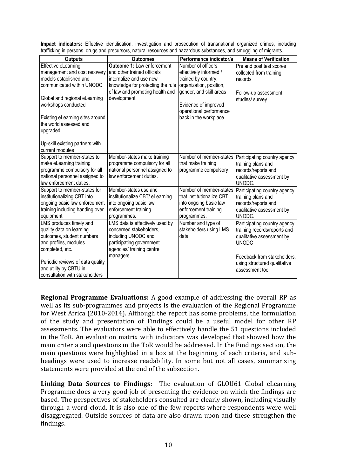| aanomiy in poroono, arayo ana prooarooro, natarar roooarooo ana nazaraoao oaotanooo, ana omayying or miyranto.                                                                                                               |                                                                                                                                                         |                                                                                                                       |                                                                                                                                                                                             |
|------------------------------------------------------------------------------------------------------------------------------------------------------------------------------------------------------------------------------|---------------------------------------------------------------------------------------------------------------------------------------------------------|-----------------------------------------------------------------------------------------------------------------------|---------------------------------------------------------------------------------------------------------------------------------------------------------------------------------------------|
| <b>Outputs</b>                                                                                                                                                                                                               | <b>Outcomes</b>                                                                                                                                         | Performance indicator/s                                                                                               | <b>Means of Verification</b>                                                                                                                                                                |
| Effective eLearning                                                                                                                                                                                                          | <b>Outcome 1: Law enforcement</b>                                                                                                                       | Number of officers                                                                                                    | Pre and post test scores                                                                                                                                                                    |
| management and cost recovery                                                                                                                                                                                                 | and other trained officials                                                                                                                             | effectively informed /                                                                                                | collected from training                                                                                                                                                                     |
| models established and                                                                                                                                                                                                       | internalize and use new                                                                                                                                 | trained by country,                                                                                                   | records                                                                                                                                                                                     |
| communicated within UNODC                                                                                                                                                                                                    | knowledge for protecting the rule                                                                                                                       | organization, position,                                                                                               |                                                                                                                                                                                             |
| Global and regional eLearning<br>workshops conducted<br>Existing eLearning sites around<br>the world assessed and<br>upgraded<br>Up-skill existing partners with                                                             | of law and promoting health and<br>development                                                                                                          | gender, and skill areas<br>Evidence of improved<br>operational performance<br>back in the workplace                   | Follow-up assessment<br>studies/ survey                                                                                                                                                     |
| current modules                                                                                                                                                                                                              |                                                                                                                                                         |                                                                                                                       |                                                                                                                                                                                             |
| Support to member-states to<br>make eLearning training<br>programme compulsory for all<br>national personnel assigned to<br>law enforcement duties.                                                                          | Member-states make training<br>programme compulsory for all<br>national personnel assigned to<br>law enforcement duties.                                | Number of member-states<br>that make training<br>programme compulsory                                                 | Participating country agency<br>training plans and<br>records/reports and<br>qualitative assessment by<br>UNODC.                                                                            |
| Support to member-states for<br>institutionalizing CBT into<br>ongoing basic law enforcement<br>training including handing over<br>equipment.                                                                                | Member-states use and<br>institutionalize CBT/ eLearning<br>into ongoing basic law<br>enforcement training<br>programmes.                               | Number of member-states<br>that institutionalize CBT<br>into ongoing basic law<br>enforcement training<br>programmes. | Participating country agency<br>training plans and<br>records/reports and<br>qualitative assessment by<br>UNODC.                                                                            |
| LMS produces timely and<br>quality data on learning<br>outcomes, student numbers<br>and profiles, modules<br>completed, etc.<br>Periodic reviews of data quality<br>and utility by CBTU in<br>consultation with stakeholders | LMS data is effectively used by<br>concerned stakeholders,<br>including UNODC and<br>participating government<br>agencies/ training centre<br>managers. | Number and type of<br>stakeholders using LMS<br>data                                                                  | Participating country agency<br>training records/reports and<br>qualitative assessment by<br><b>UNODC</b><br>Feedback from stakeholders,<br>using structured qualitative<br>assessment tool |

**Impact indicators:** Effective identification, investigation and prosecution of transnational organized crimes, including trafficking in persons, drugs and precursors, natural resources and hazardous substances, and smuggling of migrants.

**Regional Programme Evaluations:** A good example of addressing the overall RP as well as its sub-programmes and projects is the evaluation of the Regional Programme for West Africa (2010-2014). Although the report has some problems, the formulation of the study and presentation of Findings could be a useful model for other RP assessments. The evaluators were able to effectively handle the 51 questions included in the ToR. An evaluation matrix with indicators was developed that showed how the main criteria and questions in the ToR would be addressed. In the Findings section, the main questions were highlighted in a box at the beginning of each criteria, and subheadings were used to increase readability. In some but not all cases, summarizing statements were provided at the end of the subsection.

**Linking Data Sources to Findings:** The evaluation of GLOU61 Global eLearning Programme does a very good job of presenting the evidence on which the findings are based. The perspectives of stakeholders consulted are clearly shown, including visually through a word cloud. It is also one of the few reports where respondents were well disaggregated. Outside sources of data are also drawn upon and these strengthen the findings.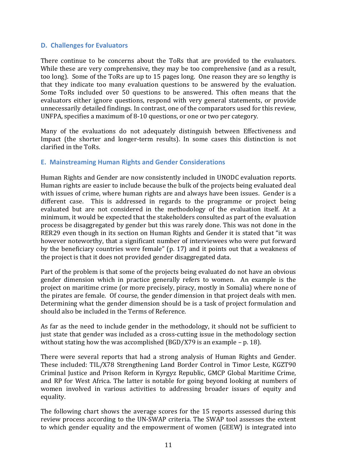#### **D. Challenges for Evaluators**

There continue to be concerns about the ToRs that are provided to the evaluators. While these are very comprehensive, they may be too comprehensive (and as a result, too long). Some of the ToRs are up to 15 pages long. One reason they are so lengthy is that they indicate too many evaluation questions to be answered by the evaluation. Some ToRs included over 50 questions to be answered. This often means that the evaluators either ignore questions, respond with very general statements, or provide unnecessarily detailed findings. In contrast, one of the comparators used for this review, UNFPA, specifies a maximum of 8-10 questions, or one or two per category.

Many of the evaluations do not adequately distinguish between Effectiveness and Impact (the shorter and longer-term results). In some cases this distinction is not clarified in the ToRs.

#### **E. Mainstreaming Human Rights and Gender Considerations**

Human Rights and Gender are now consistently included in UNODC evaluation reports. Human rights are easier to include because the bulk of the projects being evaluated deal with issues of crime, where human rights are and always have been issues. Gender is a different case. This is addressed in regards to the programme or project being evaluated but are not considered in the methodology of the evaluation itself. At a minimum, it would be expected that the stakeholders consulted as part of the evaluation process be disaggregated by gender but this was rarely done. This was not done in the RER29 even though in its section on Human Rights and Gender it is stated that "it was however noteworthy, that a significant number of interviewees who were put forward by the beneficiary countries were female" (p. 17) and it points out that a weakness of the project is that it does not provided gender disaggregated data.

Part of the problem is that some of the projects being evaluated do not have an obvious gender dimension which in practice generally refers to women. An example is the project on maritime crime (or more precisely, piracy, mostly in Somalia) where none of the pirates are female. Of course, the gender dimension in that project deals with men. Determining what the gender dimension should be is a task of project formulation and should also be included in the Terms of Reference.

As far as the need to include gender in the methodology, it should not be sufficient to just state that gender was included as a cross-cutting issue in the methodology section without stating how the was accomplished (BGD/X79 is an example – p. 18).

There were several reports that had a strong analysis of Human Rights and Gender. These included: TIL/X78 Strengthening Land Border Control in Timor Leste, KGZT90 Criminal Justice and Prison Reform in Kyrgyz Republic, GMCP Global Maritime Crime, and RP for West Africa. The latter is notable for going beyond looking at numbers of women involved in various activities to addressing broader issues of equity and equality.

The following chart shows the average scores for the 15 reports assessed during this review process according to the UN-SWAP criteria. The SWAP tool assesses the extent to which gender equality and the empowerment of women (GEEW) is integrated into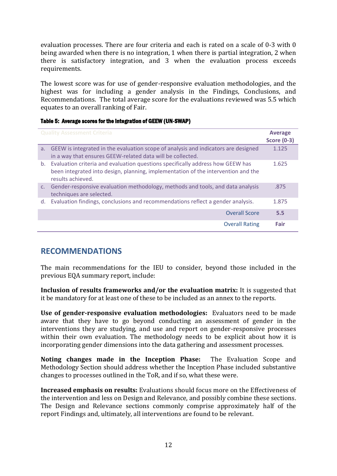evaluation processes. There are four criteria and each is rated on a scale of 0-3 with 0 being awarded when there is no integration, 1 when there is partial integration, 2 when there is satisfactory integration, and 3 when the evaluation process exceeds requirements.

The lowest score was for use of gender-responsive evaluation methodologies, and the highest was for including a gender analysis in the Findings, Conclusions, and Recommendations. The total average score for the evaluations reviewed was 5.5 which equates to an overall ranking of Fair.

| Table 5: Average scores for the integration of GEEW (UN-SWAP) |  |
|---------------------------------------------------------------|--|
|                                                               |  |

|                | <b>Quality Assessment Criteria</b>                                                                                                                                                       | <b>Average</b><br><b>Score (0-3)</b> |
|----------------|------------------------------------------------------------------------------------------------------------------------------------------------------------------------------------------|--------------------------------------|
| a.             | GEEW is integrated in the evaluation scope of analysis and indicators are designed<br>in a way that ensures GEEW-related data will be collected.                                         | 1.125                                |
| b.             | Evaluation criteria and evaluation questions specifically address how GEEW has<br>been integrated into design, planning, implementation of the intervention and the<br>results achieved. | 1.625                                |
| C <sub>1</sub> | Gender-responsive evaluation methodology, methods and tools, and data analysis<br>techniques are selected.                                                                               | .875                                 |
| d.             | Evaluation findings, conclusions and recommendations reflect a gender analysis.                                                                                                          | 1.875                                |
|                | <b>Overall Score</b>                                                                                                                                                                     | 5.5                                  |
|                | <b>Overall Rating</b>                                                                                                                                                                    | Fair                                 |

## **RECOMMENDATIONS**

The main recommendations for the IEU to consider, beyond those included in the previous EQA summary report, include:

**Inclusion of results frameworks and/or the evaluation matrix:** It is suggested that it be mandatory for at least one of these to be included as an annex to the reports.

**Use of gender-responsive evaluation methodologies:** Evaluators need to be made aware that they have to go beyond conducting an assessment of gender in the interventions they are studying, and use and report on gender-responsive processes within their own evaluation. The methodology needs to be explicit about how it is incorporating gender dimensions into the data gathering and assessment processes.

**Noting changes made in the Inception Phase:** The Evaluation Scope and Methodology Section should address whether the Inception Phase included substantive changes to processes outlined in the ToR, and if so, what these were.

**Increased emphasis on results:** Evaluations should focus more on the Effectiveness of the intervention and less on Design and Relevance, and possibly combine these sections. The Design and Relevance sections commonly comprise approximately half of the report Findings and, ultimately, all interventions are found to be relevant.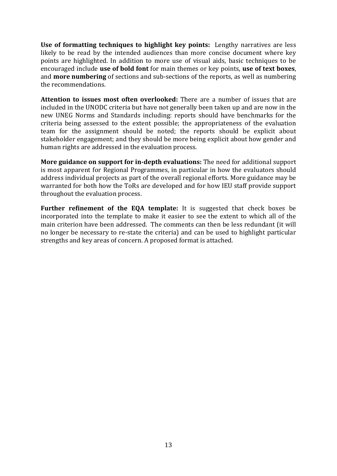**Use of formatting techniques to highlight key points:** Lengthy narratives are less likely to be read by the intended audiences than more concise document where key points are highlighted. In addition to more use of visual aids, basic techniques to be encouraged include **use of bold font** for main themes or key points, **use of text boxes**, and **more numbering** of sections and sub-sections of the reports, as well as numbering the recommendations.

**Attention to issues most often overlooked:** There are a number of issues that are included in the UNODC criteria but have not generally been taken up and are now in the new UNEG Norms and Standards including: reports should have benchmarks for the criteria being assessed to the extent possible; the appropriateness of the evaluation team for the assignment should be noted; the reports should be explicit about stakeholder engagement; and they should be more being explicit about how gender and human rights are addressed in the evaluation process.

**More guidance on support for in-depth evaluations:** The need for additional support is most apparent for Regional Programmes, in particular in how the evaluators should address individual projects as part of the overall regional efforts. More guidance may be warranted for both how the ToRs are developed and for how IEU staff provide support throughout the evaluation process.

**Further refinement of the EQA template:** It is suggested that check boxes be incorporated into the template to make it easier to see the extent to which all of the main criterion have been addressed. The comments can then be less redundant (it will no longer be necessary to re-state the criteria) and can be used to highlight particular strengths and key areas of concern. A proposed format is attached.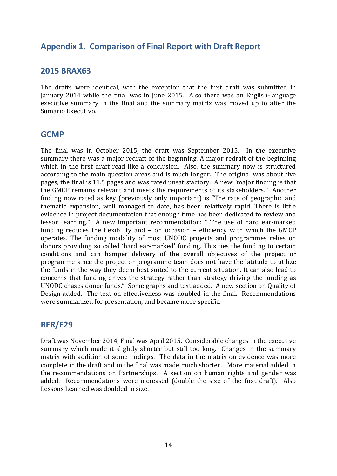## **Appendix 1. Comparison of Final Report with Draft Report**

## **2015 BRAX63**

The drafts were identical, with the exception that the first draft was submitted in January 2014 while the final was in June 2015. Also there was an English-language executive summary in the final and the summary matrix was moved up to after the Sumario Executivo.

### **GCMP**

The final was in October 2015, the draft was September 2015. In the executive summary there was a major redraft of the beginning. A major redraft of the beginning which in the first draft read like a conclusion. Also, the summary now is structured according to the main question areas and is much longer. The original was about five pages, the final is 11.5 pages and was rated unsatisfactory. A new "major finding is that the GMCP remains relevant and meets the requirements of its stakeholders." Another finding now rated as key (previously only important) is "The rate of geographic and thematic expansion, well managed to date, has been relatively rapid. There is little evidence in project documentation that enough time has been dedicated to review and lesson learning." A new important recommendation: " The use of hard ear-marked funding reduces the flexibility and – on occasion – efficiency with which the GMCP operates. The funding modality of most UNODC projects and programmes relies on donors providing so called 'hard ear-marked' funding. This ties the funding to certain conditions and can hamper delivery of the overall objectives of the project or programme since the project or programme team does not have the latitude to utilize the funds in the way they deem best suited to the current situation. It can also lead to concerns that funding drives the strategy rather than strategy driving the funding as UNODC chases donor funds." Some graphs and text added. A new section on Quality of Design added. The text on effectiveness was doubled in the final. Recommendations were summarized for presentation, and became more specific.

## **RER/E29**

Draft was November 2014, Final was April 2015. Considerable changes in the executive summary which made it slightly shorter but still too long. Changes in the summary matrix with addition of some findings. The data in the matrix on evidence was more complete in the draft and in the final was made much shorter. More material added in the recommendations on Partnerships. A section on human rights and gender was added. Recommendations were increased (double the size of the first draft). Also Lessons Learned was doubled in size.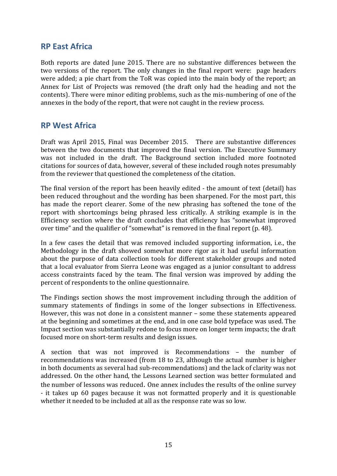## **RP East Africa**

Both reports are dated June 2015. There are no substantive differences between the two versions of the report. The only changes in the final report were: page headers were added; a pie chart from the ToR was copied into the main body of the report; an Annex for List of Projects was removed (the draft only had the heading and not the contents). There were minor editing problems, such as the mis-numbering of one of the annexes in the body of the report, that were not caught in the review process.

## **RP West Africa**

Draft was April 2015, Final was December 2015. There are substantive differences between the two documents that improved the final version. The Executive Summary was not included in the draft. The Background section included more footnoted citations for sources of data, however, several of these included rough notes presumably from the reviewer that questioned the completeness of the citation.

The final version of the report has been heavily edited - the amount of text (detail) has been reduced throughout and the wording has been sharpened. For the most part, this has made the report clearer. Some of the new phrasing has softened the tone of the report with shortcomings being phrased less critically. A striking example is in the Efficiency section where the draft concludes that efficiency has "somewhat improved over time" and the qualifier of "somewhat" is removed in the final report (p. 48).

In a few cases the detail that was removed included supporting information, i.e., the Methodology in the draft showed somewhat more rigor as it had useful information about the purpose of data collection tools for different stakeholder groups and noted that a local evaluator from Sierra Leone was engaged as a junior consultant to address access constraints faced by the team. The final version was improved by adding the percent of respondents to the online questionnaire.

The Findings section shows the most improvement including through the addition of summary statements of findings in some of the longer subsections in Effectiveness. However, this was not done in a consistent manner – some these statements appeared at the beginning and sometimes at the end, and in one case bold typeface was used. The Impact section was substantially redone to focus more on longer term impacts; the draft focused more on short-term results and design issues.

A section that was not improved is Recommendations – the number of recommendations was increased (from 18 to 23, although the actual number is higher in both documents as several had sub-recommendations) and the lack of clarity was not addressed. On the other hand, the Lessons Learned section was better formulated and the number of lessons was reduced. One annex includes the results of the online survey - it takes up 60 pages because it was not formatted properly and it is questionable whether it needed to be included at all as the response rate was so low.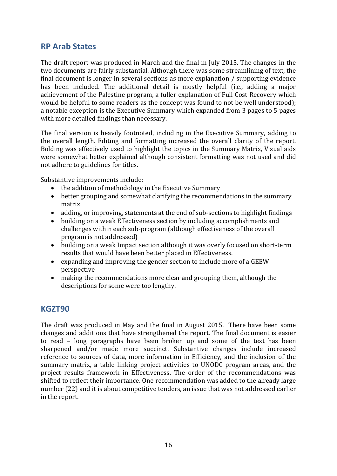## **RP Arab States**

The draft report was produced in March and the final in July 2015. The changes in the two documents are fairly substantial. Although there was some streamlining of text, the final document is longer in several sections as more explanation / supporting evidence has been included. The additional detail is mostly helpful (i.e., adding a major achievement of the Palestine program, a fuller explanation of Full Cost Recovery which would be helpful to some readers as the concept was found to not be well understood); a notable exception is the Executive Summary which expanded from 3 pages to 5 pages with more detailed findings than necessary.

The final version is heavily footnoted, including in the Executive Summary, adding to the overall length. Editing and formatting increased the overall clarity of the report. Bolding was effectively used to highlight the topics in the Summary Matrix, Visual aids were somewhat better explained although consistent formatting was not used and did not adhere to guidelines for titles.

Substantive improvements include:

- the addition of methodology in the Executive Summary
- better grouping and somewhat clarifying the recommendations in the summary matrix
- adding, or improving, statements at the end of sub-sections to highlight findings
- building on a weak Effectiveness section by including accomplishments and challenges within each sub-program (although effectiveness of the overall program is not addressed)
- building on a weak Impact section although it was overly focused on short-term results that would have been better placed in Effectiveness.
- expanding and improving the gender section to include more of a GEEW perspective
- making the recommendations more clear and grouping them, although the descriptions for some were too lengthy.

## **KGZT90**

The draft was produced in May and the final in August 2015. There have been some changes and additions that have strengthened the report. The final document is easier to read – long paragraphs have been broken up and some of the text has been sharpened and/or made more succinct. Substantive changes include increased reference to sources of data, more information in Efficiency, and the inclusion of the summary matrix, a table linking project activities to UNODC program areas, and the project results framework in Effectiveness. The order of the recommendations was shifted to reflect their importance. One recommendation was added to the already large number (22) and it is about competitive tenders, an issue that was not addressed earlier in the report.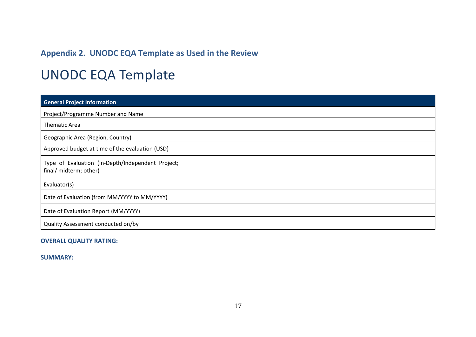# **Appendix 2. UNODC EQA Template as Used in the Review**

# UNODC EQA Template

| <b>General Project Information</b>                                          |  |
|-----------------------------------------------------------------------------|--|
| Project/Programme Number and Name                                           |  |
| <b>Thematic Area</b>                                                        |  |
| Geographic Area (Region, Country)                                           |  |
| Approved budget at time of the evaluation (USD)                             |  |
| Type of Evaluation (In-Depth/Independent Project)<br>final/ midterm; other) |  |
| Evaluator(s)                                                                |  |
| Date of Evaluation (from MM/YYYY to MM/YYYY)                                |  |
| Date of Evaluation Report (MM/YYYY)                                         |  |
| Quality Assessment conducted on/by                                          |  |

#### **OVERALL QUALITY RATING:**

**SUMMARY:**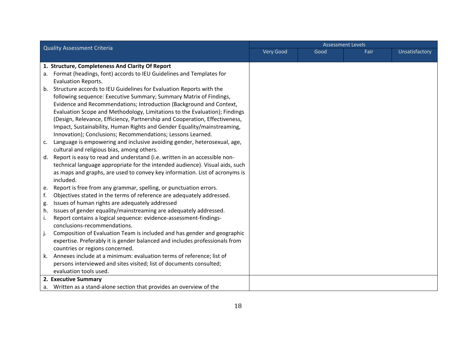| <b>Quality Assessment Criteria</b> |                                                                              |  |      | <b>Assessment Levels</b><br>Very Good |                |  |  |
|------------------------------------|------------------------------------------------------------------------------|--|------|---------------------------------------|----------------|--|--|
|                                    |                                                                              |  | Good | Fair                                  | Unsatisfactory |  |  |
|                                    |                                                                              |  |      |                                       |                |  |  |
|                                    | 1. Structure, Completeness And Clarity Of Report                             |  |      |                                       |                |  |  |
| а.                                 | Format (headings, font) accords to IEU Guidelines and Templates for          |  |      |                                       |                |  |  |
|                                    | Evaluation Reports.                                                          |  |      |                                       |                |  |  |
| b.                                 | Structure accords to IEU Guidelines for Evaluation Reports with the          |  |      |                                       |                |  |  |
|                                    | following sequence: Executive Summary; Summary Matrix of Findings,           |  |      |                                       |                |  |  |
|                                    | Evidence and Recommendations; Introduction (Background and Context,          |  |      |                                       |                |  |  |
|                                    | Evaluation Scope and Methodology, Limitations to the Evaluation); Findings   |  |      |                                       |                |  |  |
|                                    | (Design, Relevance, Efficiency, Partnership and Cooperation, Effectiveness,  |  |      |                                       |                |  |  |
|                                    | Impact, Sustainability, Human Rights and Gender Equality/mainstreaming,      |  |      |                                       |                |  |  |
|                                    | Innovation); Conclusions; Recommendations; Lessons Learned.                  |  |      |                                       |                |  |  |
| c.                                 | Language is empowering and inclusive avoiding gender, heterosexual, age,     |  |      |                                       |                |  |  |
|                                    | cultural and religious bias, among others.                                   |  |      |                                       |                |  |  |
| d.                                 | Report is easy to read and understand (i.e. written in an accessible non-    |  |      |                                       |                |  |  |
|                                    | technical language appropriate for the intended audience). Visual aids, such |  |      |                                       |                |  |  |
|                                    | as maps and graphs, are used to convey key information. List of acronyms is  |  |      |                                       |                |  |  |
|                                    | included.                                                                    |  |      |                                       |                |  |  |
| e.                                 | Report is free from any grammar, spelling, or punctuation errors.            |  |      |                                       |                |  |  |
| f.                                 | Objectives stated in the terms of reference are adequately addressed.        |  |      |                                       |                |  |  |
| g.                                 | Issues of human rights are adequately addressed                              |  |      |                                       |                |  |  |
| h.                                 | Issues of gender equality/mainstreaming are adequately addressed.            |  |      |                                       |                |  |  |
| i.                                 | Report contains a logical sequence: evidence-assessment-findings-            |  |      |                                       |                |  |  |
|                                    | conclusions-recommendations.                                                 |  |      |                                       |                |  |  |
| j.                                 | Composition of Evaluation Team is included and has gender and geographic     |  |      |                                       |                |  |  |
|                                    | expertise. Preferably it is gender balanced and includes professionals from  |  |      |                                       |                |  |  |
|                                    | countries or regions concerned.                                              |  |      |                                       |                |  |  |
| k.                                 | Annexes include at a minimum: evaluation terms of reference; list of         |  |      |                                       |                |  |  |
|                                    | persons interviewed and sites visited; list of documents consulted;          |  |      |                                       |                |  |  |
|                                    | evaluation tools used.                                                       |  |      |                                       |                |  |  |
|                                    | 2. Executive Summary                                                         |  |      |                                       |                |  |  |
|                                    | a. Written as a stand-alone section that provides an overview of the         |  |      |                                       |                |  |  |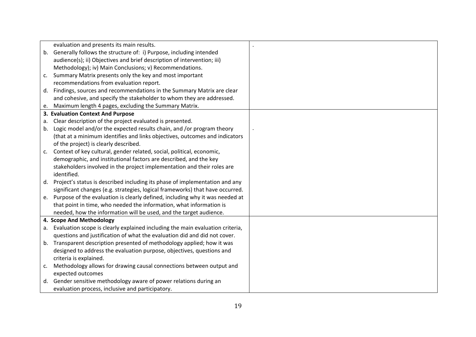|    | evaluation and presents its main results.                                     |  |
|----|-------------------------------------------------------------------------------|--|
| b. | Generally follows the structure of: i) Purpose, including intended            |  |
|    | audience(s); ii) Objectives and brief description of intervention; iii)       |  |
|    | Methodology); iv) Main Conclusions; v) Recommendations.                       |  |
| C. | Summary Matrix presents only the key and most important                       |  |
|    | recommendations from evaluation report.                                       |  |
| d. | Findings, sources and recommendations in the Summary Matrix are clear         |  |
|    | and cohesive, and specify the stakeholder to whom they are addressed.         |  |
| e. | Maximum length 4 pages, excluding the Summary Matrix.                         |  |
|    | 3. Evaluation Context And Purpose                                             |  |
| а. | Clear description of the project evaluated is presented.                      |  |
| b. | Logic model and/or the expected results chain, and /or program theory         |  |
|    | (that at a minimum identifies and links objectives, outcomes and indicators   |  |
|    | of the project) is clearly described.                                         |  |
| C. | Context of key cultural, gender related, social, political, economic,         |  |
|    | demographic, and institutional factors are described, and the key             |  |
|    | stakeholders involved in the project implementation and their roles are       |  |
|    | identified.                                                                   |  |
| d. | Project's status is described including its phase of implementation and any   |  |
|    | significant changes (e.g. strategies, logical frameworks) that have occurred. |  |
| e. | Purpose of the evaluation is clearly defined, including why it was needed at  |  |
|    | that point in time, who needed the information, what information is           |  |
|    | needed, how the information will be used, and the target audience.            |  |
|    | 4. Scope And Methodology                                                      |  |
| а. | Evaluation scope is clearly explained including the main evaluation criteria, |  |
|    | questions and justification of what the evaluation did and did not cover.     |  |
| b. | Transparent description presented of methodology applied; how it was          |  |
|    | designed to address the evaluation purpose, objectives, questions and         |  |
|    | criteria is explained.                                                        |  |
| c. | Methodology allows for drawing causal connections between output and          |  |
|    | expected outcomes                                                             |  |
|    | d. Gender sensitive methodology aware of power relations during an            |  |
|    | evaluation process, inclusive and participatory.                              |  |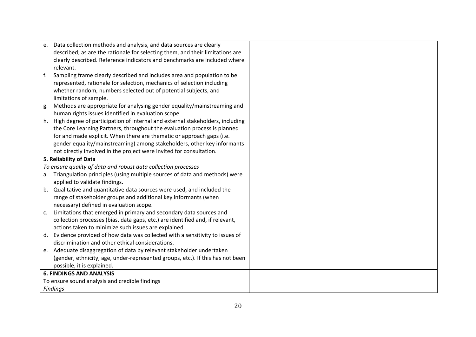| e.             | Data collection methods and analysis, and data sources are clearly             |  |
|----------------|--------------------------------------------------------------------------------|--|
|                | described; as are the rationale for selecting them, and their limitations are  |  |
|                | clearly described. Reference indicators and benchmarks are included where      |  |
|                | relevant.                                                                      |  |
| f.             | Sampling frame clearly described and includes area and population to be        |  |
|                | represented, rationale for selection, mechanics of selection including         |  |
|                | whether random, numbers selected out of potential subjects, and                |  |
|                | limitations of sample.                                                         |  |
| g.             | Methods are appropriate for analysing gender equality/mainstreaming and        |  |
|                | human rights issues identified in evaluation scope                             |  |
| h.             | High degree of participation of internal and external stakeholders, including  |  |
|                | the Core Learning Partners, throughout the evaluation process is planned       |  |
|                | for and made explicit. When there are thematic or approach gaps (i.e.          |  |
|                | gender equality/mainstreaming) among stakeholders, other key informants        |  |
|                | not directly involved in the project were invited for consultation.            |  |
|                | 5. Reliability of Data                                                         |  |
|                | To ensure quality of data and robust data collection processes                 |  |
| а.             | Triangulation principles (using multiple sources of data and methods) were     |  |
|                | applied to validate findings.                                                  |  |
| b.             | Qualitative and quantitative data sources were used, and included the          |  |
|                | range of stakeholder groups and additional key informants (when                |  |
|                | necessary) defined in evaluation scope.                                        |  |
| $\mathsf{C}$ . | Limitations that emerged in primary and secondary data sources and             |  |
|                | collection processes (bias, data gaps, etc.) are identified and, if relevant,  |  |
|                | actions taken to minimize such issues are explained.                           |  |
| d.             | Evidence provided of how data was collected with a sensitivity to issues of    |  |
|                | discrimination and other ethical considerations.                               |  |
|                | e. Adequate disaggregation of data by relevant stakeholder undertaken          |  |
|                | (gender, ethnicity, age, under-represented groups, etc.). If this has not been |  |
|                | possible, it is explained.                                                     |  |
|                | <b>6. FINDINGS AND ANALYSIS</b>                                                |  |
|                | To ensure sound analysis and credible findings                                 |  |
|                | <b>Findings</b>                                                                |  |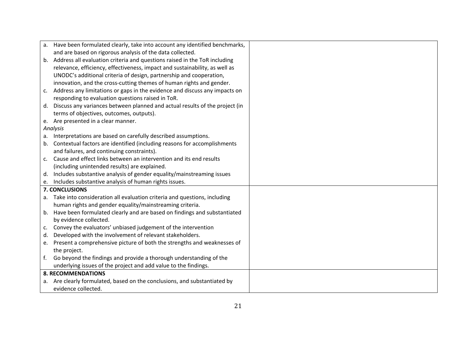|                | a. Have been formulated clearly, take into account any identified benchmarks, |  |
|----------------|-------------------------------------------------------------------------------|--|
|                | and are based on rigorous analysis of the data collected.                     |  |
|                | b. Address all evaluation criteria and questions raised in the ToR including  |  |
|                | relevance, efficiency, effectiveness, impact and sustainability, as well as   |  |
|                | UNODC's additional criteria of design, partnership and cooperation,           |  |
|                | innovation, and the cross-cutting themes of human rights and gender.          |  |
| c.             | Address any limitations or gaps in the evidence and discuss any impacts on    |  |
|                | responding to evaluation questions raised in ToR.                             |  |
| d.             | Discuss any variances between planned and actual results of the project (in   |  |
|                | terms of objectives, outcomes, outputs).                                      |  |
|                | e. Are presented in a clear manner.                                           |  |
|                | Analysis                                                                      |  |
| а.             | Interpretations are based on carefully described assumptions.                 |  |
| b.             | Contextual factors are identified (including reasons for accomplishments      |  |
|                | and failures, and continuing constraints).                                    |  |
| c.             | Cause and effect links between an intervention and its end results            |  |
|                | (including unintended results) are explained.                                 |  |
| d.             | Includes substantive analysis of gender equality/mainstreaming issues         |  |
|                | e. Includes substantive analysis of human rights issues.                      |  |
|                | 7. CONCLUSIONS                                                                |  |
| а.             | Take into consideration all evaluation criteria and questions, including      |  |
|                | human rights and gender equality/mainstreaming criteria.                      |  |
| b.             | Have been formulated clearly and are based on findings and substantiated      |  |
|                | by evidence collected.                                                        |  |
| c.             | Convey the evaluators' unbiased judgement of the intervention                 |  |
| d.             | Developed with the involvement of relevant stakeholders.                      |  |
| e.             | Present a comprehensive picture of both the strengths and weaknesses of       |  |
|                | the project.                                                                  |  |
| f <sub>r</sub> | Go beyond the findings and provide a thorough understanding of the            |  |
|                | underlying issues of the project and add value to the findings.               |  |
|                | <b>8. RECOMMENDATIONS</b>                                                     |  |
|                | a. Are clearly formulated, based on the conclusions, and substantiated by     |  |
|                | evidence collected.                                                           |  |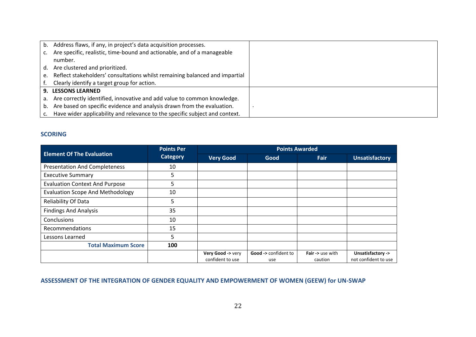| b. | Address flaws, if any, in project's data acquisition processes.             |  |
|----|-----------------------------------------------------------------------------|--|
| c. | Are specific, realistic, time-bound and actionable, and of a manageable     |  |
|    | number.                                                                     |  |
| d. | Are clustered and prioritized.                                              |  |
| e. | Reflect stakeholders' consultations whilst remaining balanced and impartial |  |
|    | Clearly identify a target group for action.                                 |  |
|    | <b>9. LESSONS LEARNED</b>                                                   |  |
| а. | Are correctly identified, innovative and add value to common knowledge.     |  |
| b. | Are based on specific evidence and analysis drawn from the evaluation.      |  |
|    | Have wider applicability and relevance to the specific subject and context. |  |

#### **SCORING**

|                                         | <b>Points Per</b> | <b>Points Awarded</b> |                                |                  |                       |  |
|-----------------------------------------|-------------------|-----------------------|--------------------------------|------------------|-----------------------|--|
| <b>Element Of The Evaluation</b>        | <b>Category</b>   | <b>Very Good</b>      | Good                           | Fair             | <b>Unsatisfactory</b> |  |
| <b>Presentation And Completeness</b>    | 10                |                       |                                |                  |                       |  |
| <b>Executive Summary</b>                | 5                 |                       |                                |                  |                       |  |
| <b>Evaluation Context And Purpose</b>   | 5                 |                       |                                |                  |                       |  |
| <b>Evaluation Scope And Methodology</b> | 10                |                       |                                |                  |                       |  |
| Reliability Of Data                     | 5                 |                       |                                |                  |                       |  |
| <b>Findings And Analysis</b>            | 35                |                       |                                |                  |                       |  |
| <b>Conclusions</b>                      | 10                |                       |                                |                  |                       |  |
| Recommendations                         | 15                |                       |                                |                  |                       |  |
| Lessons Learned                         | 5                 |                       |                                |                  |                       |  |
| <b>Total Maximum Score</b>              | 100               |                       |                                |                  |                       |  |
|                                         |                   | Very Good -> very     | <b>Good -&gt;</b> confident to | Fair -> use with | Unsatisfactory ->     |  |
|                                         |                   | confident to use      | use                            | caution          | not confident to use  |  |

### **ASSESSMENT OF THE INTEGRATION OF GENDER EQUALITY AND EMPOWERMENT OF WOMEN (GEEW) for UN-SWAP**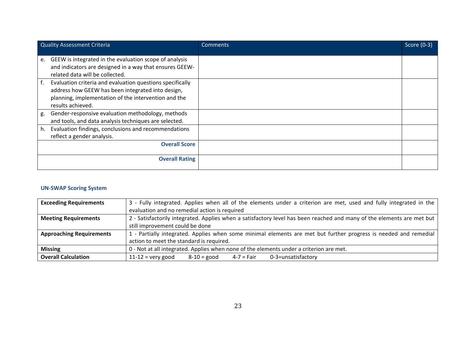| <b>Quality Assessment Criteria</b>                              | Comments | Score (0-3) |
|-----------------------------------------------------------------|----------|-------------|
|                                                                 |          |             |
| GEEW is integrated in the evaluation scope of analysis<br>e.    |          |             |
| and indicators are designed in a way that ensures GEEW-         |          |             |
| related data will be collected.                                 |          |             |
| Evaluation criteria and evaluation questions specifically<br>f. |          |             |
| address how GEEW has been integrated into design,               |          |             |
| planning, implementation of the intervention and the            |          |             |
| results achieved.                                               |          |             |
| Gender-responsive evaluation methodology, methods<br>g.         |          |             |
| and tools, and data analysis techniques are selected.           |          |             |
| Evaluation findings, conclusions and recommendations<br>h.      |          |             |
| reflect a gender analysis.                                      |          |             |
| <b>Overall Score</b>                                            |          |             |
|                                                                 |          |             |
| <b>Overall Rating</b>                                           |          |             |
|                                                                 |          |             |

#### **UN-SWAP Scoring System**

| <b>Exceeding Requirements</b>   | 3 - Fully integrated. Applies when all of the elements under a criterion are met, used and fully integrated in the     |  |  |  |
|---------------------------------|------------------------------------------------------------------------------------------------------------------------|--|--|--|
|                                 | evaluation and no remedial action is required                                                                          |  |  |  |
| <b>Meeting Requirements</b>     | 2 - Satisfactorily integrated. Applies when a satisfactory level has been reached and many of the elements are met but |  |  |  |
|                                 | still improvement could be done                                                                                        |  |  |  |
| <b>Approaching Requirements</b> | 1 - Partially integrated. Applies when some minimal elements are met but further progress is needed and remedial       |  |  |  |
|                                 | action to meet the standard is required.                                                                               |  |  |  |
| <b>Missing</b>                  | 0 - Not at all integrated. Applies when none of the elements under a criterion are met.                                |  |  |  |
| <b>Overall Calculation</b>      | 0-3=unsatisfactory<br>$11-12$ = very good<br>$8 - 10 =$ good<br>4-7 = Fair                                             |  |  |  |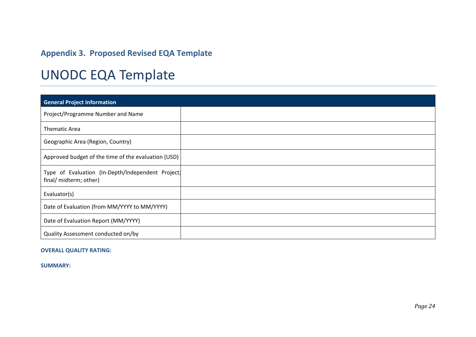# **Appendix 3. Proposed Revised EQA Template**

# UNODC EQA Template

| <b>General Project Information</b>                                          |  |
|-----------------------------------------------------------------------------|--|
| Project/Programme Number and Name                                           |  |
| <b>Thematic Area</b>                                                        |  |
| Geographic Area (Region, Country)                                           |  |
| Approved budget of the time of the evaluation (USD)                         |  |
| Type of Evaluation (In-Depth/Independent Project)<br>final/ midterm; other) |  |
| Evaluator(s)                                                                |  |
| Date of Evaluation (from MM/YYYY to MM/YYYY)                                |  |
| Date of Evaluation Report (MM/YYYY)                                         |  |
| Quality Assessment conducted on/by                                          |  |

#### **OVERALL QUALITY RATING:**

**SUMMARY:**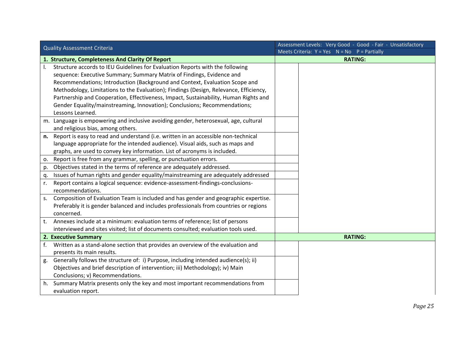| <b>Quality Assessment Criteria</b> |                                                                                       |  | Assessment Levels: Very Good - Good - Fair - Unsatisfactory |  |  |
|------------------------------------|---------------------------------------------------------------------------------------|--|-------------------------------------------------------------|--|--|
|                                    |                                                                                       |  | Meets Criteria: $Y = Yes$ $N = No$ $P = Partially$          |  |  |
|                                    | 1. Structure, Completeness And Clarity Of Report                                      |  | <b>RATING:</b>                                              |  |  |
| <b>L</b>                           | Structure accords to IEU Guidelines for Evaluation Reports with the following         |  |                                                             |  |  |
|                                    | sequence: Executive Summary; Summary Matrix of Findings, Evidence and                 |  |                                                             |  |  |
|                                    | Recommendations; Introduction (Background and Context, Evaluation Scope and           |  |                                                             |  |  |
|                                    | Methodology, Limitations to the Evaluation); Findings (Design, Relevance, Efficiency, |  |                                                             |  |  |
|                                    | Partnership and Cooperation, Effectiveness, Impact, Sustainability, Human Rights and  |  |                                                             |  |  |
|                                    | Gender Equality/mainstreaming, Innovation); Conclusions; Recommendations;             |  |                                                             |  |  |
|                                    | Lessons Learned.                                                                      |  |                                                             |  |  |
| m.                                 | Language is empowering and inclusive avoiding gender, heterosexual, age, cultural     |  |                                                             |  |  |
|                                    | and religious bias, among others.                                                     |  |                                                             |  |  |
| n.                                 | Report is easy to read and understand (i.e. written in an accessible non-technical    |  |                                                             |  |  |
|                                    | language appropriate for the intended audience). Visual aids, such as maps and        |  |                                                             |  |  |
|                                    | graphs, are used to convey key information. List of acronyms is included.             |  |                                                             |  |  |
| 0.                                 | Report is free from any grammar, spelling, or punctuation errors.                     |  |                                                             |  |  |
| p.                                 | Objectives stated in the terms of reference are adequately addressed.                 |  |                                                             |  |  |
| q.                                 | Issues of human rights and gender equality/mainstreaming are adequately addressed     |  |                                                             |  |  |
| r.                                 | Report contains a logical sequence: evidence-assessment-findings-conclusions-         |  |                                                             |  |  |
|                                    | recommendations.                                                                      |  |                                                             |  |  |
| S <sub>1</sub>                     | Composition of Evaluation Team is included and has gender and geographic expertise.   |  |                                                             |  |  |
|                                    | Preferably it is gender balanced and includes professionals from countries or regions |  |                                                             |  |  |
|                                    | concerned.                                                                            |  |                                                             |  |  |
| t.                                 | Annexes include at a minimum: evaluation terms of reference; list of persons          |  |                                                             |  |  |
|                                    | interviewed and sites visited; list of documents consulted; evaluation tools used.    |  |                                                             |  |  |
|                                    | 2. Executive Summary                                                                  |  | <b>RATING:</b>                                              |  |  |
| f.                                 | Written as a stand-alone section that provides an overview of the evaluation and      |  |                                                             |  |  |
|                                    | presents its main results.                                                            |  |                                                             |  |  |
| g.                                 | Generally follows the structure of: i) Purpose, including intended audience(s); ii)   |  |                                                             |  |  |
|                                    | Objectives and brief description of intervention; iii) Methodology); iv) Main         |  |                                                             |  |  |
|                                    | Conclusions; v) Recommendations.                                                      |  |                                                             |  |  |
| h.                                 | Summary Matrix presents only the key and most important recommendations from          |  |                                                             |  |  |
|                                    | evaluation report.                                                                    |  |                                                             |  |  |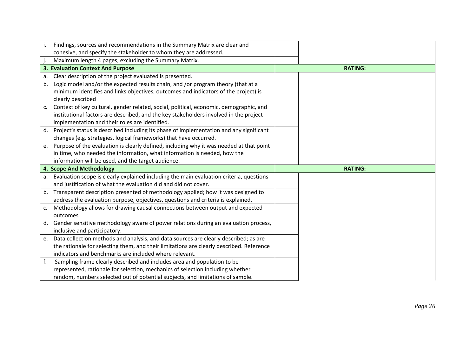| i. | Findings, sources and recommendations in the Summary Matrix are clear and                                                                                        |                |
|----|------------------------------------------------------------------------------------------------------------------------------------------------------------------|----------------|
|    | cohesive, and specify the stakeholder to whom they are addressed.                                                                                                |                |
|    | Maximum length 4 pages, excluding the Summary Matrix.                                                                                                            |                |
|    | 3. Evaluation Context And Purpose                                                                                                                                | <b>RATING:</b> |
| a. | Clear description of the project evaluated is presented.                                                                                                         |                |
| b. | Logic model and/or the expected results chain, and /or program theory (that at a                                                                                 |                |
|    | minimum identifies and links objectives, outcomes and indicators of the project) is                                                                              |                |
|    | clearly described                                                                                                                                                |                |
| c. | Context of key cultural, gender related, social, political, economic, demographic, and                                                                           |                |
|    | institutional factors are described, and the key stakeholders involved in the project                                                                            |                |
|    | implementation and their roles are identified.                                                                                                                   |                |
|    | d. Project's status is described including its phase of implementation and any significant                                                                       |                |
|    | changes (e.g. strategies, logical frameworks) that have occurred.                                                                                                |                |
| e. | Purpose of the evaluation is clearly defined, including why it was needed at that point                                                                          |                |
|    | in time, who needed the information, what information is needed, how the                                                                                         |                |
|    | information will be used, and the target audience.                                                                                                               |                |
|    |                                                                                                                                                                  |                |
|    | 4. Scope And Methodology                                                                                                                                         | <b>RATING:</b> |
| a. | Evaluation scope is clearly explained including the main evaluation criteria, questions                                                                          |                |
|    | and justification of what the evaluation did and did not cover.                                                                                                  |                |
| b. | Transparent description presented of methodology applied; how it was designed to                                                                                 |                |
|    | address the evaluation purpose, objectives, questions and criteria is explained.                                                                                 |                |
| c. | Methodology allows for drawing causal connections between output and expected                                                                                    |                |
|    | outcomes                                                                                                                                                         |                |
| d. | Gender sensitive methodology aware of power relations during an evaluation process,                                                                              |                |
|    | inclusive and participatory.                                                                                                                                     |                |
| e. | Data collection methods and analysis, and data sources are clearly described; as are                                                                             |                |
|    | the rationale for selecting them, and their limitations are clearly described. Reference                                                                         |                |
|    | indicators and benchmarks are included where relevant.                                                                                                           |                |
| f. | Sampling frame clearly described and includes area and population to be                                                                                          |                |
|    | represented, rationale for selection, mechanics of selection including whether<br>random, numbers selected out of potential subjects, and limitations of sample. |                |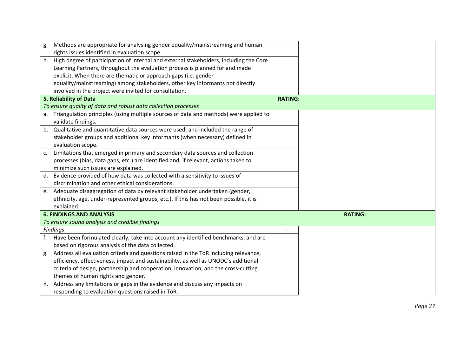| g.          | Methods are appropriate for analysing gender equality/mainstreaming and human             |                |                |
|-------------|-------------------------------------------------------------------------------------------|----------------|----------------|
|             | rights issues identified in evaluation scope                                              |                |                |
|             | h. High degree of participation of internal and external stakeholders, including the Core |                |                |
|             | Learning Partners, throughout the evaluation process is planned for and made              |                |                |
|             | explicit. When there are thematic or approach gaps (i.e. gender                           |                |                |
|             | equality/mainstreaming) among stakeholders, other key informants not directly             |                |                |
|             | involved in the project were invited for consultation.                                    |                |                |
|             | 5. Reliability of Data                                                                    | <b>RATING:</b> |                |
|             | To ensure quality of data and robust data collection processes                            |                |                |
|             | a. Triangulation principles (using multiple sources of data and methods) were applied to  |                |                |
|             | validate findings.                                                                        |                |                |
|             | b. Qualitative and quantitative data sources were used, and included the range of         |                |                |
|             | stakeholder groups and additional key informants (when necessary) defined in              |                |                |
|             | evaluation scope.                                                                         |                |                |
| $c_{\cdot}$ | Limitations that emerged in primary and secondary data sources and collection             |                |                |
|             | processes (bias, data gaps, etc.) are identified and, if relevant, actions taken to       |                |                |
|             | minimize such issues are explained.                                                       |                |                |
| d.          | Evidence provided of how data was collected with a sensitivity to issues of               |                |                |
|             | discrimination and other ethical considerations.                                          |                |                |
|             | e. Adequate disaggregation of data by relevant stakeholder undertaken (gender,            |                |                |
|             | ethnicity, age, under-represented groups, etc.). If this has not been possible, it is     |                |                |
|             | explained.                                                                                |                |                |
|             | <b>6. FINDINGS AND ANALYSIS</b>                                                           |                | <b>RATING:</b> |
|             | To ensure sound analysis and credible findings                                            |                |                |
|             | <b>Findings</b>                                                                           | $\blacksquare$ |                |
| f.          | Have been formulated clearly, take into account any identified benchmarks, and are        |                |                |
|             | based on rigorous analysis of the data collected.                                         |                |                |
| g.          | Address all evaluation criteria and questions raised in the ToR including relevance,      |                |                |
|             | efficiency, effectiveness, impact and sustainability, as well as UNODC's additional       |                |                |
|             | criteria of design, partnership and cooperation, innovation, and the cross-cutting        |                |                |
|             | themes of human rights and gender.                                                        |                |                |
| h.          | Address any limitations or gaps in the evidence and discuss any impacts on                |                |                |
|             | responding to evaluation questions raised in ToR.                                         |                |                |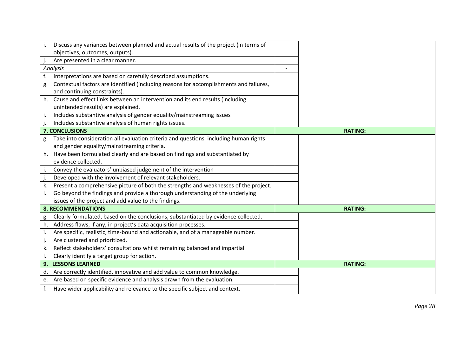| Discuss any variances between planned and actual results of the project (in terms of<br>i.                                                  |                |
|---------------------------------------------------------------------------------------------------------------------------------------------|----------------|
| objectives, outcomes, outputs).                                                                                                             |                |
| Are presented in a clear manner.                                                                                                            |                |
| Analysis                                                                                                                                    |                |
| Interpretations are based on carefully described assumptions.<br>f.                                                                         |                |
| Contextual factors are identified (including reasons for accomplishments and failures,<br>g.<br>and continuing constraints).                |                |
| Cause and effect links between an intervention and its end results (including<br>h.<br>unintended results) are explained.                   |                |
| Includes substantive analysis of gender equality/mainstreaming issues<br>i.                                                                 |                |
| Includes substantive analysis of human rights issues.                                                                                       |                |
| 7. CONCLUSIONS                                                                                                                              | <b>RATING:</b> |
| Take into consideration all evaluation criteria and questions, including human rights<br>g.<br>and gender equality/mainstreaming criteria.  |                |
| h. Have been formulated clearly and are based on findings and substantiated by                                                              |                |
| evidence collected.                                                                                                                         |                |
| Convey the evaluators' unbiased judgement of the intervention<br>i.                                                                         |                |
| Developed with the involvement of relevant stakeholders.                                                                                    |                |
| Present a comprehensive picture of both the strengths and weaknesses of the project.<br>k.                                                  |                |
| Go beyond the findings and provide a thorough understanding of the underlying<br>I.<br>issues of the project and add value to the findings. |                |
| <b>8. RECOMMENDATIONS</b>                                                                                                                   | <b>RATING:</b> |
| Clearly formulated, based on the conclusions, substantiated by evidence collected.<br>g.                                                    |                |
| Address flaws, if any, in project's data acquisition processes.<br>h.                                                                       |                |
| Are specific, realistic, time-bound and actionable, and of a manageable number.<br>i.                                                       |                |
| Are clustered and prioritized.                                                                                                              |                |
| Reflect stakeholders' consultations whilst remaining balanced and impartial<br>k.                                                           |                |
| Clearly identify a target group for action.<br>I.                                                                                           |                |
| 9. LESSONS LEARNED                                                                                                                          | <b>RATING:</b> |
| Are correctly identified, innovative and add value to common knowledge.<br>d.                                                               |                |
| e. Are based on specific evidence and analysis drawn from the evaluation.                                                                   |                |
| Have wider applicability and relevance to the specific subject and context.<br>f.                                                           |                |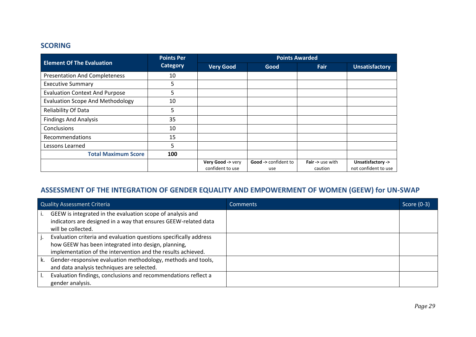### **SCORING**

|                                         | <b>Points Per</b> | <b>Points Awarded</b> |                                |                            |                       |
|-----------------------------------------|-------------------|-----------------------|--------------------------------|----------------------------|-----------------------|
| <b>Element Of The Evaluation</b>        | <b>Category</b>   | <b>Very Good</b>      | Good                           | Fair                       | <b>Unsatisfactory</b> |
| <b>Presentation And Completeness</b>    | 10                |                       |                                |                            |                       |
| <b>Executive Summary</b>                | 5                 |                       |                                |                            |                       |
| <b>Evaluation Context And Purpose</b>   | 5                 |                       |                                |                            |                       |
| <b>Evaluation Scope And Methodology</b> | 10                |                       |                                |                            |                       |
| Reliability Of Data                     | 5                 |                       |                                |                            |                       |
| <b>Findings And Analysis</b>            | 35                |                       |                                |                            |                       |
| <b>Conclusions</b>                      | 10                |                       |                                |                            |                       |
| Recommendations                         | 15                |                       |                                |                            |                       |
| Lessons Learned                         | 5                 |                       |                                |                            |                       |
| <b>Total Maximum Score</b>              | 100               |                       |                                |                            |                       |
|                                         |                   | Very Good -> very     | <b>Good -&gt;</b> confident to | <b>Fair -&gt; use with</b> | Unsatisfactory ->     |
|                                         |                   | confident to use      | use                            | caution                    | not confident to use  |

## **ASSESSMENT OF THE INTEGRATION OF GENDER EQUALITY AND EMPOWERMENT OF WOMEN (GEEW) for UN-SWAP**

|    | <b>Quality Assessment Criteria</b>                                                                                                                                                       | <b>Comments</b> | Score (0-3) |
|----|------------------------------------------------------------------------------------------------------------------------------------------------------------------------------------------|-----------------|-------------|
|    | GEEW is integrated in the evaluation scope of analysis and<br>indicators are designed in a way that ensures GEEW-related data                                                            |                 |             |
|    | will be collected.                                                                                                                                                                       |                 |             |
|    | Evaluation criteria and evaluation questions specifically address<br>how GEEW has been integrated into design, planning,<br>implementation of the intervention and the results achieved. |                 |             |
| k. | Gender-responsive evaluation methodology, methods and tools,<br>and data analysis techniques are selected.                                                                               |                 |             |
|    | Evaluation findings, conclusions and recommendations reflect a<br>gender analysis.                                                                                                       |                 |             |